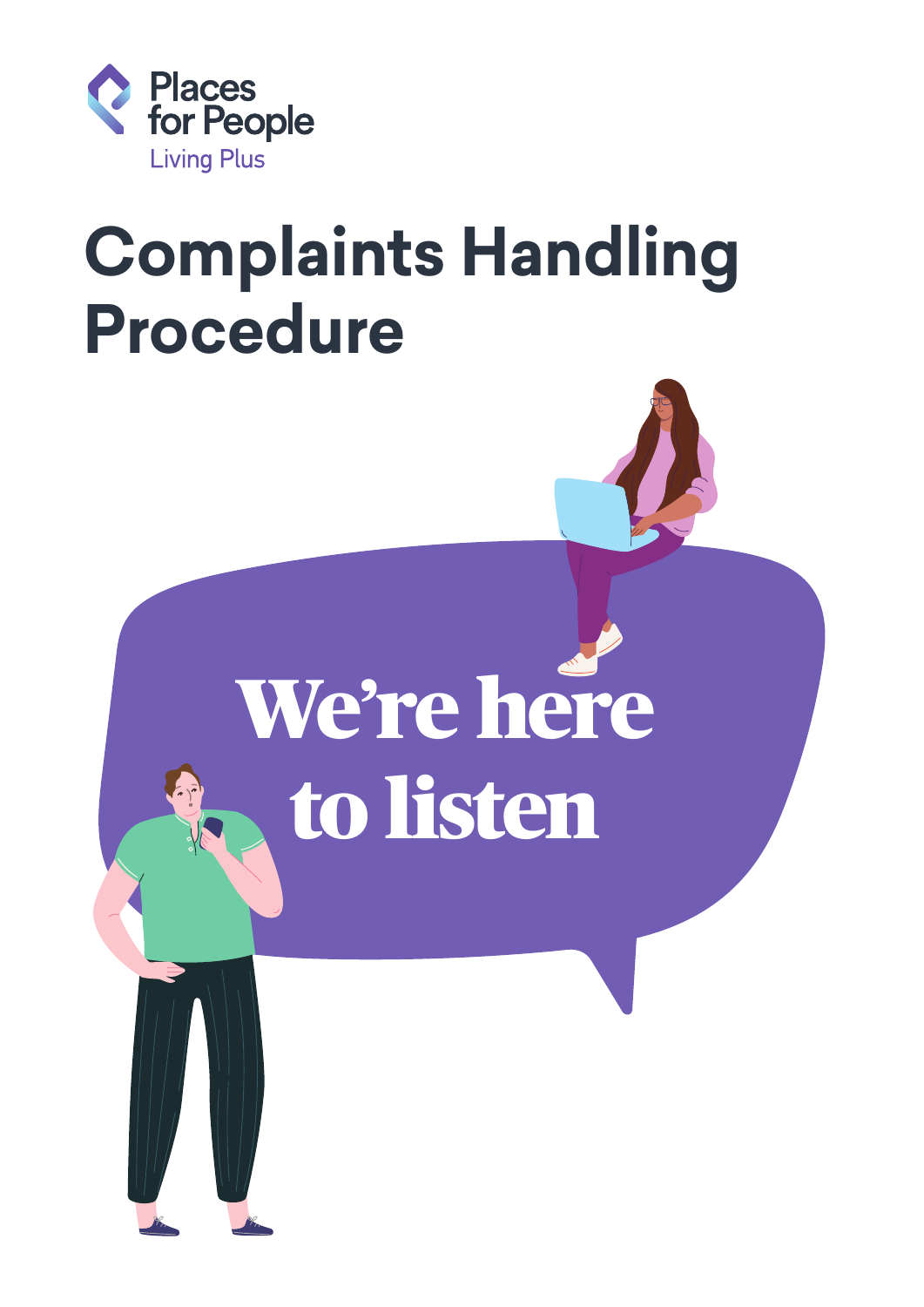

## **Complaints Handling Procedure**

# We're here to listen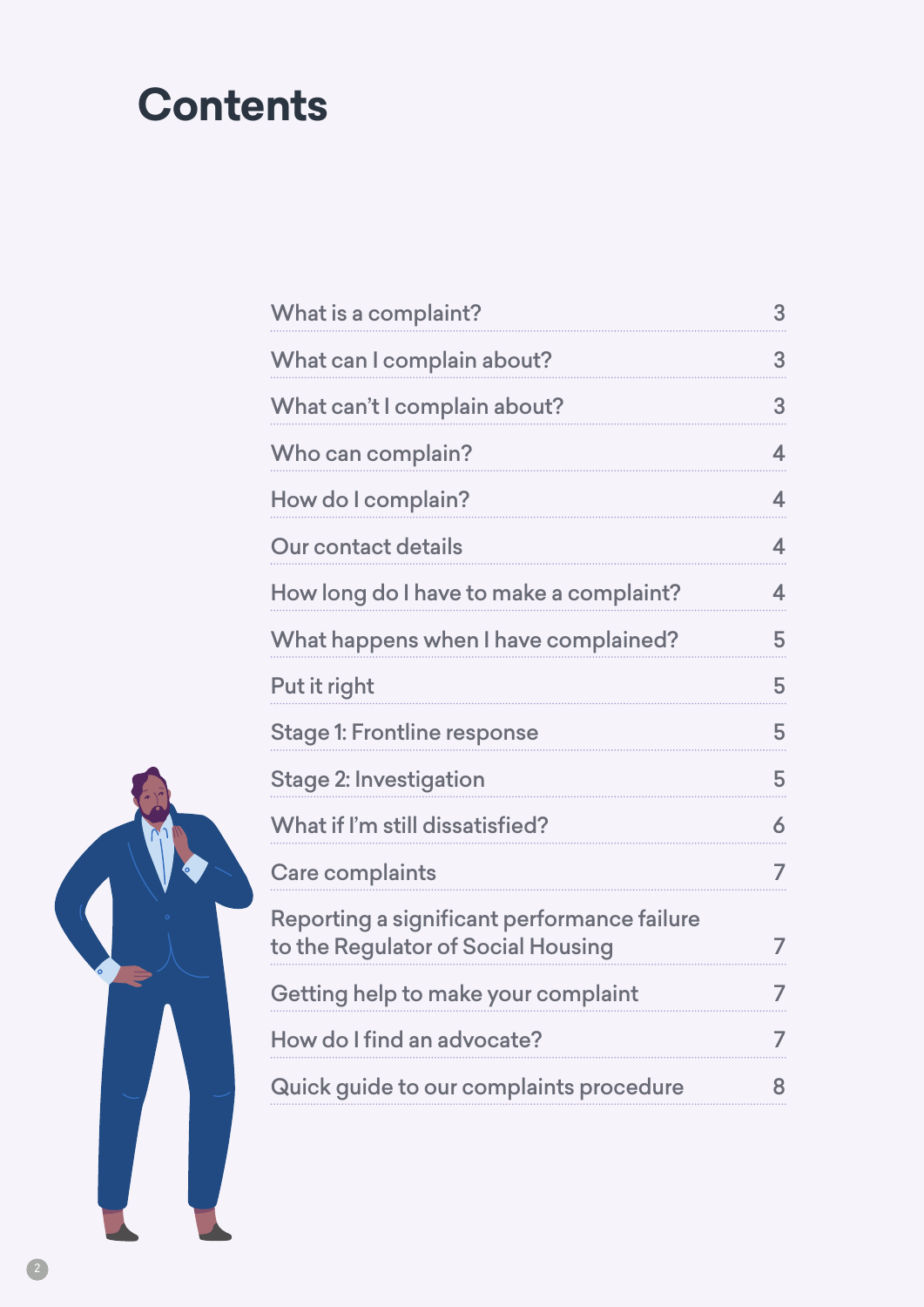## **Contents**

| What is a complaint?                                                              | 3 |
|-----------------------------------------------------------------------------------|---|
| What can I complain about?                                                        | 3 |
| What can't I complain about?                                                      | 3 |
| Who can complain?                                                                 | 4 |
| How do I complain?                                                                | 4 |
| Our contact details                                                               | 4 |
| How long do I have to make a complaint?                                           | 4 |
| What happens when I have complained?                                              | 5 |
| Put it right                                                                      | 5 |
| <b>Stage 1: Frontline response</b>                                                | 5 |
| <b>Stage 2: Investigation</b>                                                     | 5 |
| What if I'm still dissatisfied?                                                   | 6 |
| <b>Care complaints</b>                                                            | 7 |
| Reporting a significant performance failure<br>to the Regulator of Social Housing | 7 |
| Getting help to make your complaint                                               | 7 |
| How do I find an advocate?                                                        | 7 |
| Quick guide to our complaints procedure                                           | 8 |

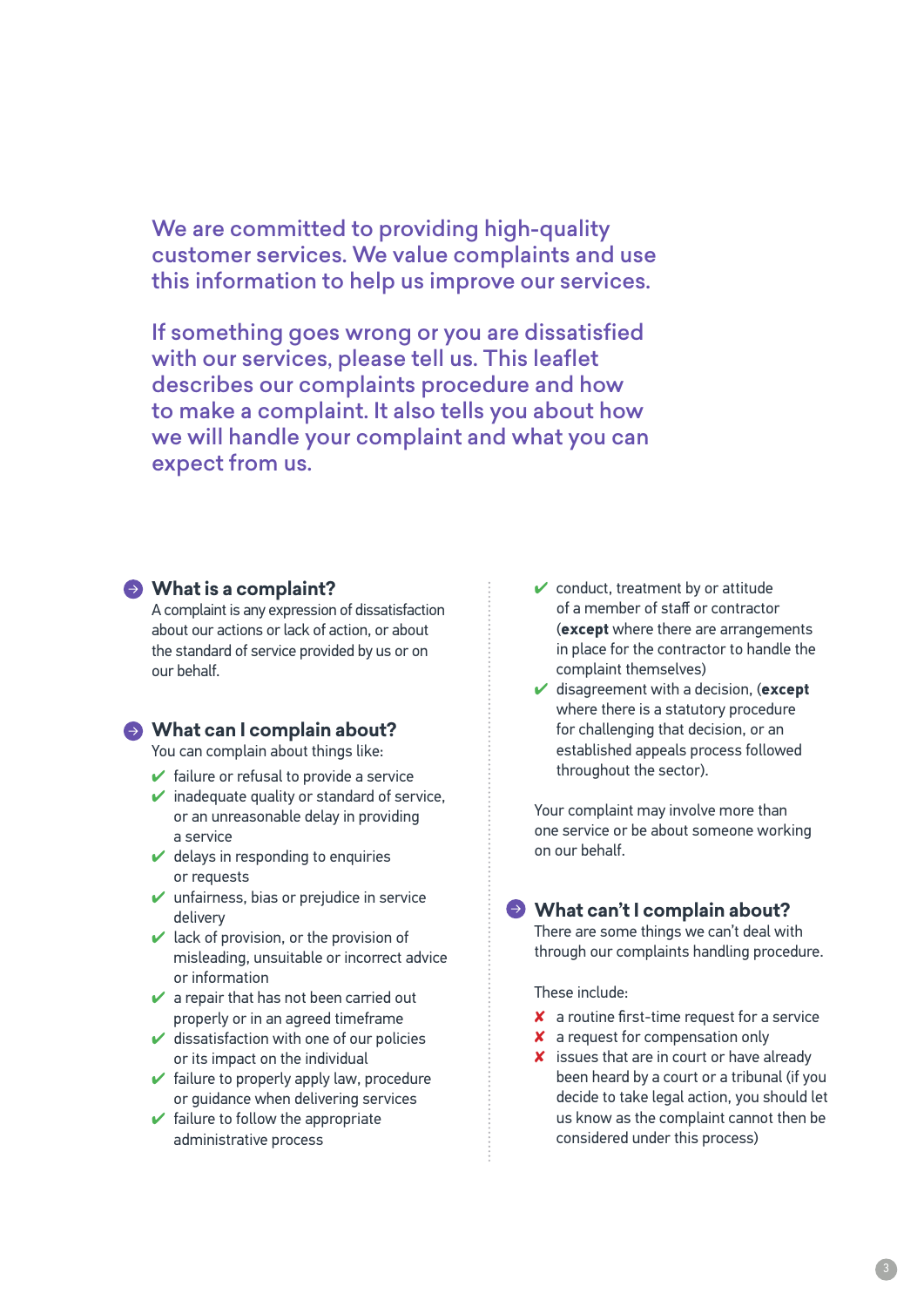We are committed to providing high-quality customer services. We value complaints and use this information to help us improve our services.

If something goes wrong or you are dissatisfied with our services, please tell us. This leaflet describes our complaints procedure and how to make a complaint. It also tells you about how we will handle your complaint and what you can expect from us.

#### **What is a complaint?**

A complaint is any expression of dissatisfaction about our actions or lack of action, or about the standard of service provided by us or on our behalf.

#### **What can I complain about?**

You can complain about things like:

- $\blacktriangleright$  failure or refusal to provide a service
- $\vee$  inadequate quality or standard of service, or an unreasonable delay in providing a service
- $\vee$  delays in responding to enquiries or requests
- $\mathbf \checkmark$  unfairness, bias or prejudice in service delivery
- $\vee$  lack of provision, or the provision of misleading, unsuitable or incorrect advice or information
- $\mathcal V$  a repair that has not been carried out properly or in an agreed timeframe
- $\vee$  dissatisfaction with one of our policies or its impact on the individual
- $\blacktriangleright$  failure to properly apply law, procedure or guidance when delivering services
- $\blacktriangleright$  failure to follow the appropriate administrative process
- $\checkmark$  conduct, treatment by or attitude of a member of staff or contractor (**except** where there are arrangements in place for the contractor to handle the complaint themselves)
- ✔ disagreement with a decision, (**except** where there is a statutory procedure for challenging that decision, or an established appeals process followed throughout the sector).

Your complaint may involve more than one service or be about someone working on our behalf.

#### **What can't I complain about?**

There are some things we can't deal with through our complaints handling procedure.

These include:

- ✘ a routine first-time request for a service
- ✘ a request for compensation only
- X issues that are in court or have already been heard by a court or a tribunal (if you decide to take legal action, you should let us know as the complaint cannot then be considered under this process)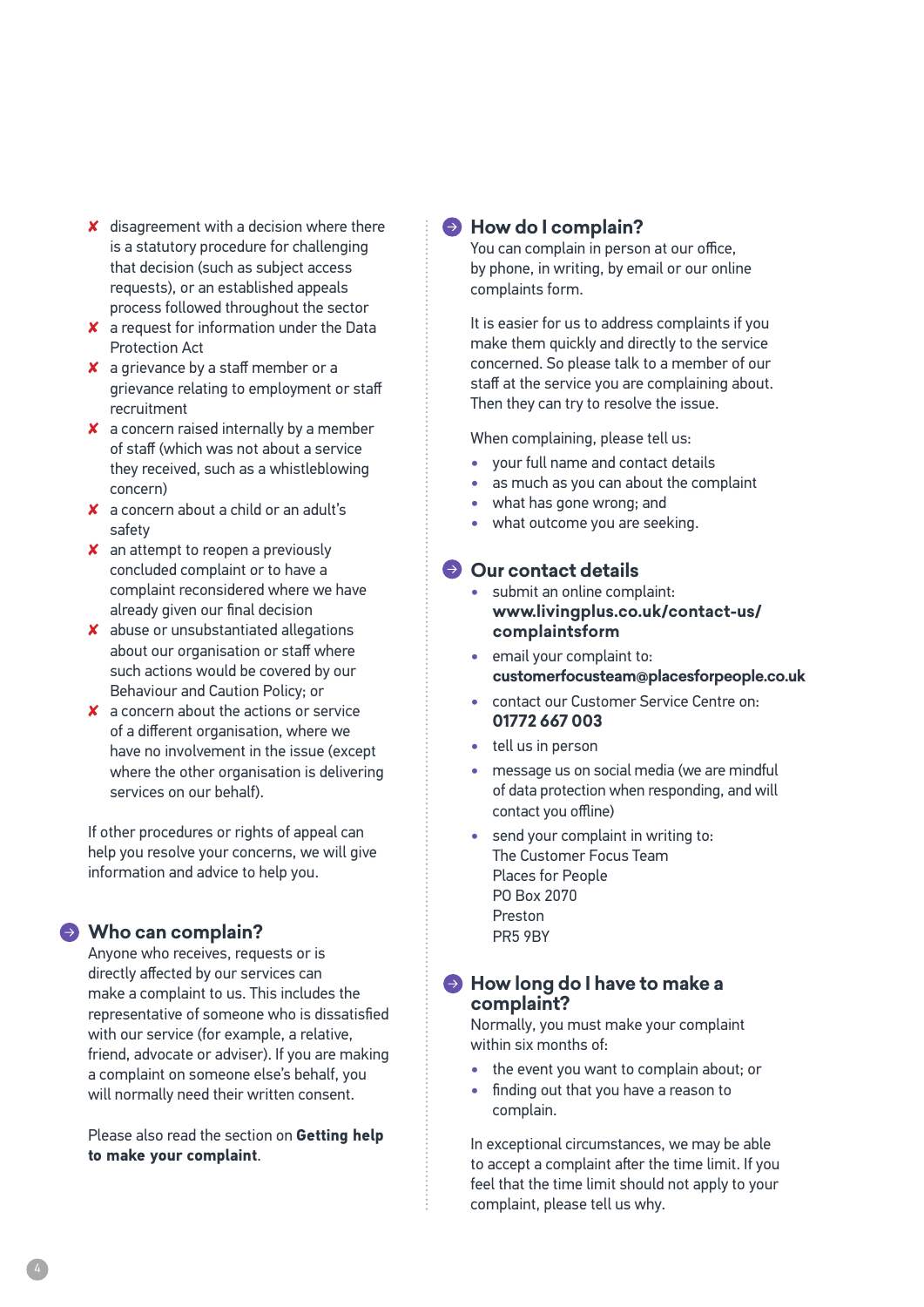- ✘ disagreement with a decision where there is a statutory procedure for challenging that decision (such as subject access requests), or an established appeals process followed throughout the sector
- ✘ a request for information under the Data Protection Act
- ✘ a grievance by a staff member or a grievance relating to employment or staff recruitment
- ✘ a concern raised internally by a member of staff (which was not about a service they received, such as a whistleblowing concern)
- ✘ a concern about a child or an adult's safety
- ✘ an attempt to reopen a previously concluded complaint or to have a complaint reconsidered where we have already given our final decision
- ✘ abuse or unsubstantiated allegations about our organisation or staff where such actions would be covered by our Behaviour and Caution Policy; or
- ✘ a concern about the actions or service of a different organisation, where we have no involvement in the issue (except where the other organisation is delivering services on our behalf).

If other procedures or rights of appeal can help you resolve your concerns, we will give information and advice to help you.

#### **Who can complain?**

Anyone who receives, requests or is directly affected by our services can make a complaint to us. This includes the representative of someone who is dissatisfied with our service (for example, a relative, friend, advocate or adviser). If you are making a complaint on someone else's behalf, you will normally need their written consent.

Please also read the section on **Getting help to make your complaint**.

#### **How do I complain?**

You can complain in person at our office, by phone, in writing, by email or our online complaints form.

It is easier for us to address complaints if you make them quickly and directly to the service concerned. So please talk to a member of our staff at the service you are complaining about. Then they can try to resolve the issue.

When complaining, please tell us:

- **•** your full name and contact details
- **•** as much as you can about the complaint
- **•** what has gone wrong; and
- **•** what outcome you are seeking.

#### **Our contact details**

- **•** submit an online complaint: **[www.livingplus.co.uk/contact-us/](http://www.livingplus.co.uk/contact-us/complaintsform) [complaintsform](http://www.livingplus.co.uk/contact-us/complaintsform)**
- **•** email your complaint to: **customerfocusteam@placesforpeople.co.uk**
- **•** contact our Customer Service Centre on: **01772 667 003**
- **•** tell us in person
- **•** message us on social media (we are mindful of data protection when responding, and will contact you offline)
- **•** send your complaint in writing to: The Customer Focus Team Places for People PO Box 2070 Preston PR5 9BY

#### **How long do I have to make a complaint?**

Normally, you must make your complaint within six months of:

- **•** the event you want to complain about; or
- **•** finding out that you have a reason to complain.

In exceptional circumstances, we may be able to accept a complaint after the time limit. If you feel that the time limit should not apply to your complaint, please tell us why.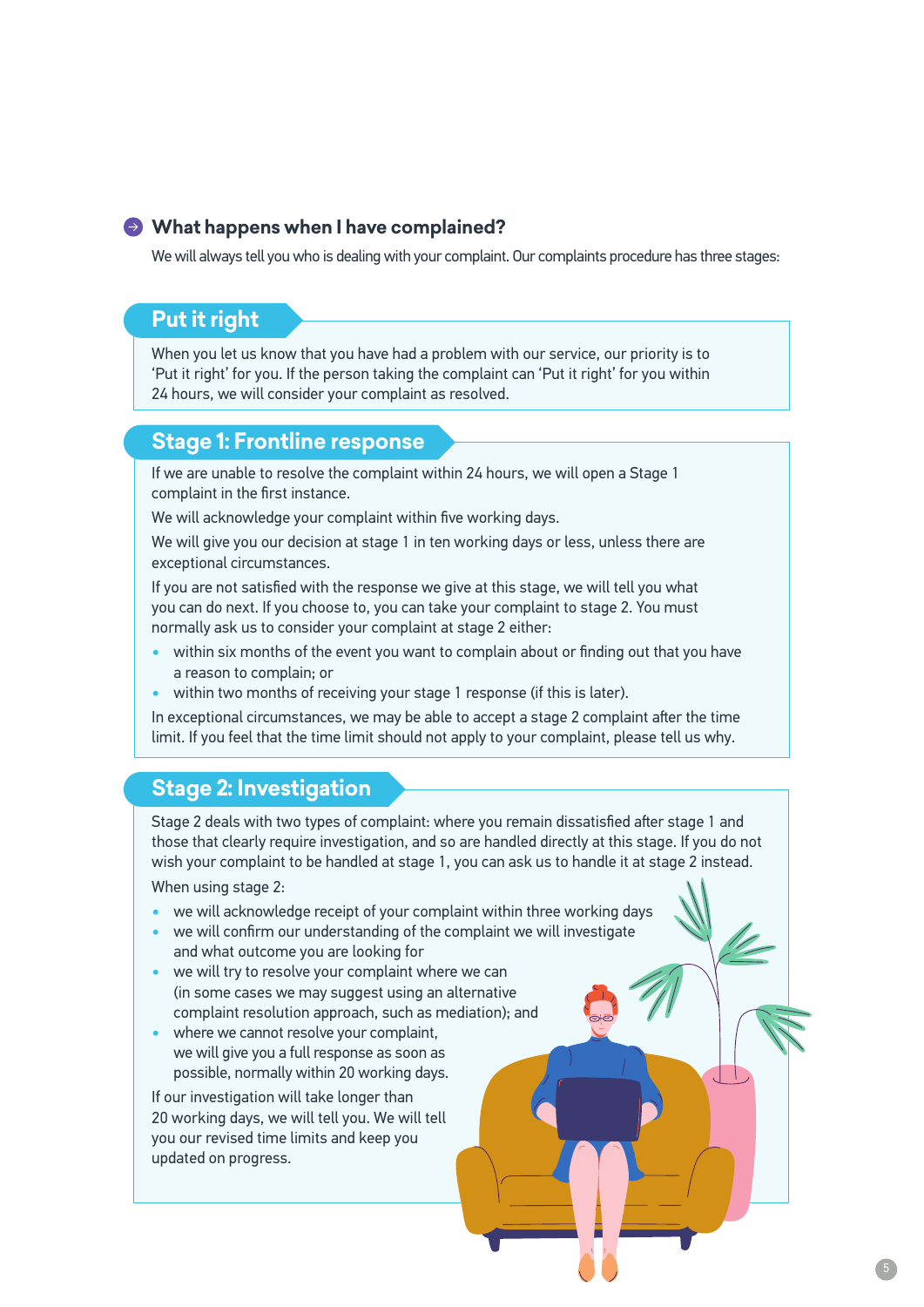#### **What happens when I have complained?**

We will always tell you who is dealing with your complaint. Our complaints procedure has three stages:

#### **Put it right**

When you let us know that you have had a problem with our service, our priority is to 'Put it right' for you. If the person taking the complaint can 'Put it right' for you within 24 hours, we will consider your complaint as resolved.

#### **Stage 1: Frontline response**

If we are unable to resolve the complaint within 24 hours, we will open a Stage 1 complaint in the first instance.

We will acknowledge your complaint within five working days.

We will give you our decision at stage 1 in ten working days or less, unless there are exceptional circumstances.

If you are not satisfied with the response we give at this stage, we will tell you what you can do next. If you choose to, you can take your complaint to stage 2. You must normally ask us to consider your complaint at stage 2 either:

- **•** within six months of the event you want to complain about or finding out that you have a reason to complain; or
- **•** within two months of receiving your stage 1 response (if this is later).

In exceptional circumstances, we may be able to accept a stage 2 complaint after the time limit. If you feel that the time limit should not apply to your complaint, please tell us why.

#### **Stage 2: Investigation**

Stage 2 deals with two types of complaint: where you remain dissatisfied after stage 1 and those that clearly require investigation, and so are handled directly at this stage. If you do not wish your complaint to be handled at stage 1, you can ask us to handle it at stage 2 instead.

When using stage 2:

- **•** we will acknowledge receipt of your complaint within three working days
- **•** we will confirm our understanding of the complaint we will investigate and what outcome you are looking for
- **•** we will try to resolve your complaint where we can (in some cases we may suggest using an alternative complaint resolution approach, such as mediation); and
- **•** where we cannot resolve your complaint, we will give you a full response as soon as possible, normally within 20 working days.

If our investigation will take longer than 20 working days, we will tell you. We will tell you our revised time limits and keep you updated on progress.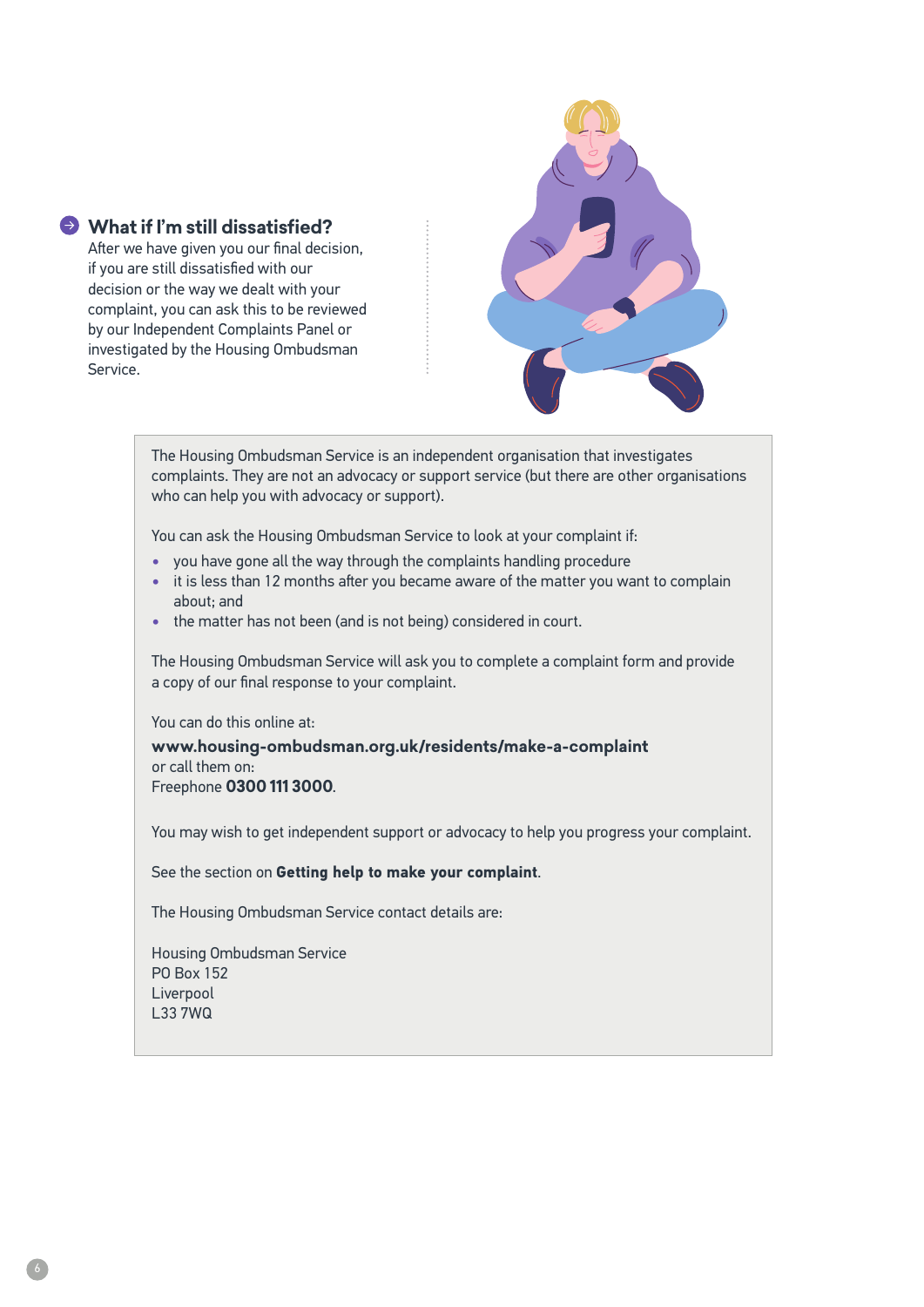#### **What if I'm still dissatisfied?**

After we have given you our final decision, if you are still dissatisfied with our decision or the way we dealt with your complaint, you can ask this to be reviewed by our Independent Complaints Panel or investigated by the Housing Ombudsman Service.



The Housing Ombudsman Service is an independent organisation that investigates complaints. They are not an advocacy or support service (but there are other organisations who can help you with advocacy or support).

You can ask the Housing Ombudsman Service to look at your complaint if:

- **•** you have gone all the way through the complaints handling procedure
- **•** it is less than 12 months after you became aware of the matter you want to complain about; and
- **•** the matter has not been (and is not being) considered in court.

The Housing Ombudsman Service will ask you to complete a complaint form and provide a copy of our final response to your complaint.

You can do this online at:

**www.housing-ombudsman.org.uk/residents/make-a-complaint** or call them on: Freephone **0300 111 3000**.

You may wish to get independent support or advocacy to help you progress your complaint.

See the section on **Getting help to make your complaint**.

The Housing Ombudsman Service contact details are:

Housing Ombudsman Service PO Box 152 Liverpool L33 7WQ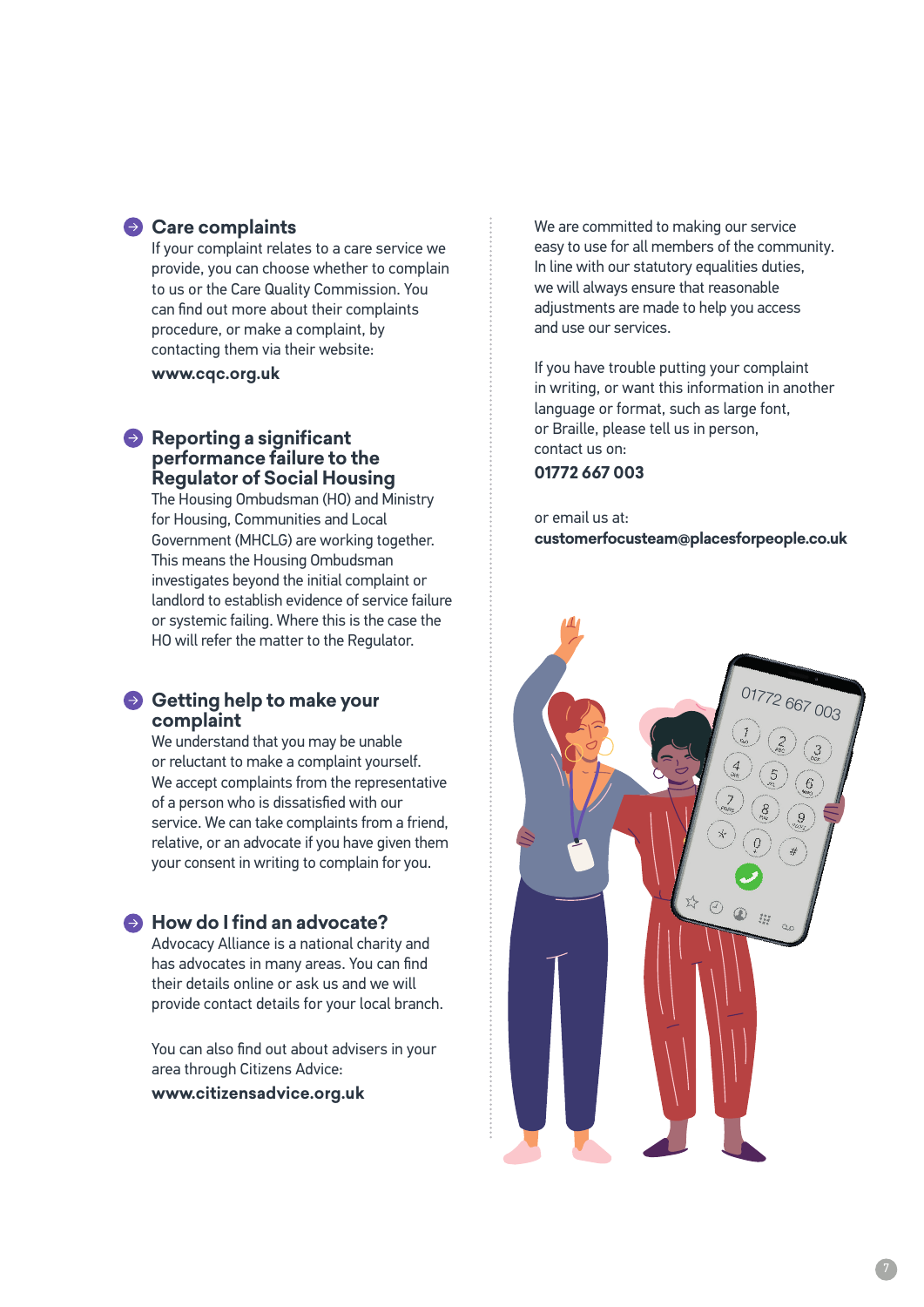#### **Care complaints**

If your complaint relates to a care service we provide, you can choose whether to complain to us or the Care Quality Commission. You can find out more about their complaints procedure, or make a complaint, by contacting them via their website:

**www.cqc.org.uk**

#### **Reporting a significant performance failure to the Regulator of Social Housing**

The Housing Ombudsman (HO) and Ministry for Housing, Communities and Local Government (MHCLG) are working together. This means the Housing Ombudsman investigates beyond the initial complaint or landlord to establish evidence of service failure or systemic failing. Where this is the case the HO will refer the matter to the Regulator.

#### **Getting help to make your complaint**

We understand that you may be unable or reluctant to make a complaint yourself. We accept complaints from the representative of a person who is dissatisfied with our service. We can take complaints from a friend, relative, or an advocate if you have given them your consent in writing to complain for you.

#### **A** How do I find an advocate?

Advocacy Alliance is a national charity and has advocates in many areas. You can find their details online or ask us and we will provide contact details for your local branch.

You can also find out about advisers in your area through Citizens Advice:

**www.citizensadvice.org.uk**

We are committed to making our service easy to use for all members of the community. In line with our statutory equalities duties, we will always ensure that reasonable adjustments are made to help you access and use our services.

If you have trouble putting your complaint in writing, or want this information in another language or format, such as large font, or Braille, please tell us in person, contact us on:

#### **01772 667 003**

or email us at: **customerfocusteam@placesforpeople.co.uk**